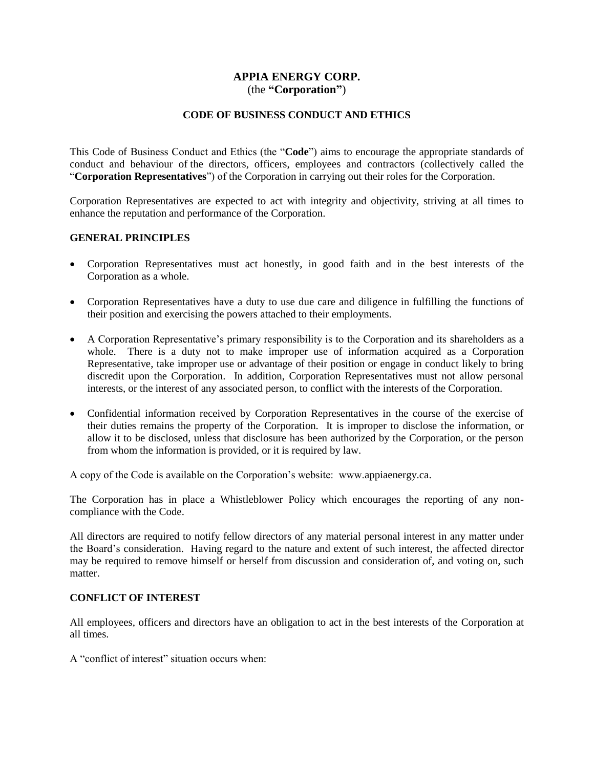## **APPIA ENERGY CORP.** (the **"Corporation"**)

## **CODE OF BUSINESS CONDUCT AND ETHICS**

This Code of Business Conduct and Ethics (the "**Code**") aims to encourage the appropriate standards of conduct and behaviour of the directors, officers, employees and contractors (collectively called the "**Corporation Representatives**") of the Corporation in carrying out their roles for the Corporation.

Corporation Representatives are expected to act with integrity and objectivity, striving at all times to enhance the reputation and performance of the Corporation.

#### **GENERAL PRINCIPLES**

- Corporation Representatives must act honestly, in good faith and in the best interests of the Corporation as a whole.
- Corporation Representatives have a duty to use due care and diligence in fulfilling the functions of their position and exercising the powers attached to their employments.
- A Corporation Representative's primary responsibility is to the Corporation and its shareholders as a whole. There is a duty not to make improper use of information acquired as a Corporation Representative, take improper use or advantage of their position or engage in conduct likely to bring discredit upon the Corporation. In addition, Corporation Representatives must not allow personal interests, or the interest of any associated person, to conflict with the interests of the Corporation.
- Confidential information received by Corporation Representatives in the course of the exercise of their duties remains the property of the Corporation. It is improper to disclose the information, or allow it to be disclosed, unless that disclosure has been authorized by the Corporation, or the person from whom the information is provided, or it is required by law.

A copy of the Code is available on the Corporation's website: www.appiaenergy.ca.

The Corporation has in place a Whistleblower Policy which encourages the reporting of any noncompliance with the Code.

All directors are required to notify fellow directors of any material personal interest in any matter under the Board's consideration. Having regard to the nature and extent of such interest, the affected director may be required to remove himself or herself from discussion and consideration of, and voting on, such matter.

## **CONFLICT OF INTEREST**

All employees, officers and directors have an obligation to act in the best interests of the Corporation at all times.

A "conflict of interest" situation occurs when: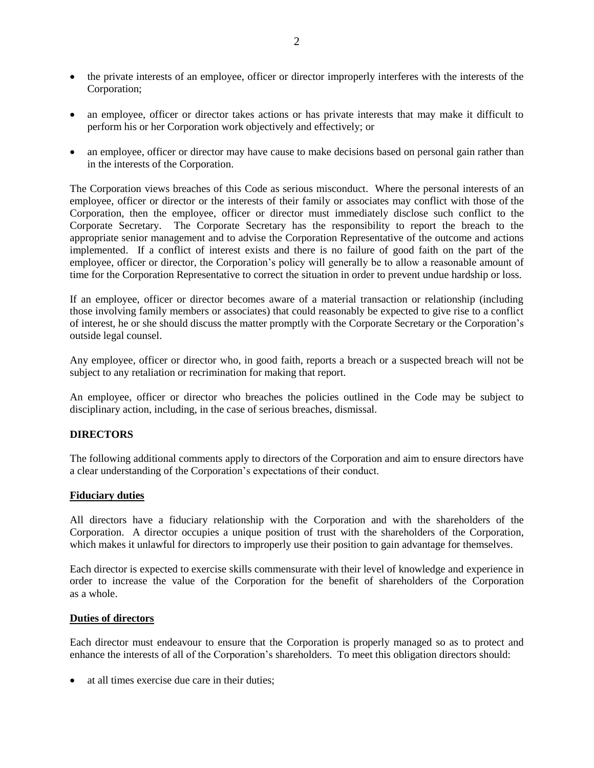- the private interests of an employee, officer or director improperly interferes with the interests of the Corporation;
- an employee, officer or director takes actions or has private interests that may make it difficult to perform his or her Corporation work objectively and effectively; or
- an employee, officer or director may have cause to make decisions based on personal gain rather than in the interests of the Corporation.

The Corporation views breaches of this Code as serious misconduct. Where the personal interests of an employee, officer or director or the interests of their family or associates may conflict with those of the Corporation, then the employee, officer or director must immediately disclose such conflict to the Corporate Secretary. The Corporate Secretary has the responsibility to report the breach to the appropriate senior management and to advise the Corporation Representative of the outcome and actions implemented. If a conflict of interest exists and there is no failure of good faith on the part of the employee, officer or director, the Corporation's policy will generally be to allow a reasonable amount of time for the Corporation Representative to correct the situation in order to prevent undue hardship or loss.

If an employee, officer or director becomes aware of a material transaction or relationship (including those involving family members or associates) that could reasonably be expected to give rise to a conflict of interest, he or she should discuss the matter promptly with the Corporate Secretary or the Corporation's outside legal counsel.

Any employee, officer or director who, in good faith, reports a breach or a suspected breach will not be subject to any retaliation or recrimination for making that report.

An employee, officer or director who breaches the policies outlined in the Code may be subject to disciplinary action, including, in the case of serious breaches, dismissal.

## **DIRECTORS**

The following additional comments apply to directors of the Corporation and aim to ensure directors have a clear understanding of the Corporation's expectations of their conduct.

## **Fiduciary duties**

All directors have a fiduciary relationship with the Corporation and with the shareholders of the Corporation. A director occupies a unique position of trust with the shareholders of the Corporation, which makes it unlawful for directors to improperly use their position to gain advantage for themselves.

Each director is expected to exercise skills commensurate with their level of knowledge and experience in order to increase the value of the Corporation for the benefit of shareholders of the Corporation as a whole.

#### **Duties of directors**

Each director must endeavour to ensure that the Corporation is properly managed so as to protect and enhance the interests of all of the Corporation's shareholders. To meet this obligation directors should:

at all times exercise due care in their duties;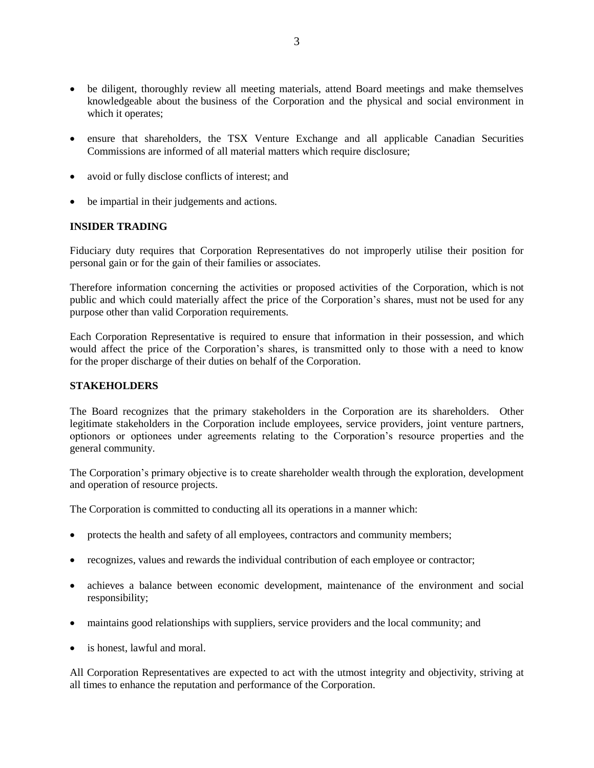- be diligent, thoroughly review all meeting materials, attend Board meetings and make themselves knowledgeable about the business of the Corporation and the physical and social environment in which it operates;
- ensure that shareholders, the TSX Venture Exchange and all applicable Canadian Securities Commissions are informed of all material matters which require disclosure;
- avoid or fully disclose conflicts of interest; and
- be impartial in their judgements and actions.

#### **INSIDER TRADING**

Fiduciary duty requires that Corporation Representatives do not improperly utilise their position for personal gain or for the gain of their families or associates.

Therefore information concerning the activities or proposed activities of the Corporation, which is not public and which could materially affect the price of the Corporation's shares, must not be used for any purpose other than valid Corporation requirements.

Each Corporation Representative is required to ensure that information in their possession, and which would affect the price of the Corporation's shares, is transmitted only to those with a need to know for the proper discharge of their duties on behalf of the Corporation.

#### **STAKEHOLDERS**

The Board recognizes that the primary stakeholders in the Corporation are its shareholders. Other legitimate stakeholders in the Corporation include employees, service providers, joint venture partners, optionors or optionees under agreements relating to the Corporation's resource properties and the general community.

The Corporation's primary objective is to create shareholder wealth through the exploration, development and operation of resource projects.

The Corporation is committed to conducting all its operations in a manner which:

- protects the health and safety of all employees, contractors and community members;
- recognizes, values and rewards the individual contribution of each employee or contractor;
- achieves a balance between economic development, maintenance of the environment and social responsibility;
- maintains good relationships with suppliers, service providers and the local community; and
- is honest, lawful and moral.

All Corporation Representatives are expected to act with the utmost integrity and objectivity, striving at all times to enhance the reputation and performance of the Corporation.